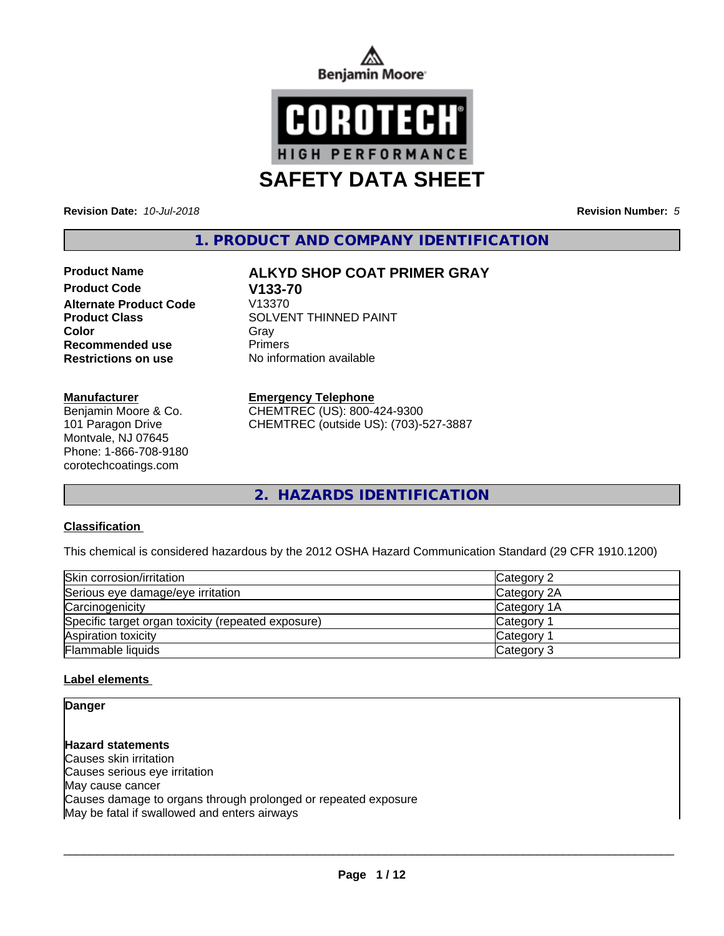



**Revision Date:** *10-Jul-2018* **Revision Number:** *5*

**1. PRODUCT AND COMPANY IDENTIFICATION**

**Product Code V133-70 Alternate Product Code Recommended use** Primers **Restrictions on use** No information available

**Manufacturer**

Benjamin Moore & Co. 101 Paragon Drive Montvale, NJ 07645 Phone: 1-866-708-9180 corotechcoatings.com

# **Product Name ALKYD SHOP COAT PRIMER GRAY**

**Product Class SOLVENT THINNED PAINT Color** Gray Gray

**Emergency Telephone**

CHEMTREC (US): 800-424-9300 CHEMTREC (outside US): (703)-527-3887

**2. HAZARDS IDENTIFICATION**

### **Classification**

This chemical is considered hazardous by the 2012 OSHA Hazard Communication Standard (29 CFR 1910.1200)

| Skin corrosion/irritation                          | Category 2            |
|----------------------------------------------------|-----------------------|
| Serious eye damage/eye irritation                  | Category 2A           |
| Carcinogenicity                                    | Category 1A           |
| Specific target organ toxicity (repeated exposure) | Category 1            |
| Aspiration toxicity                                | Category <sup>2</sup> |
| Flammable liquids                                  | Category 3            |

### **Label elements**

### **Danger**

**Hazard statements** Causes skin irritation Causes serious eye irritation May cause cancer Causes damage to organs through prolonged or repeated exposure May be fatal if swallowed and enters airways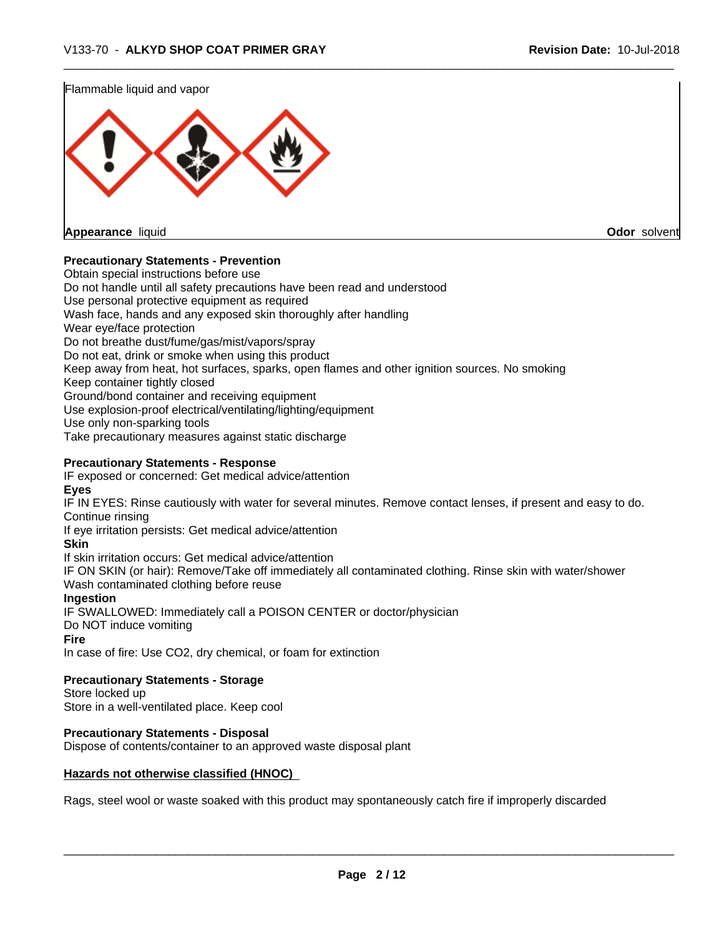

### **Precautionary Statements - Prevention**

Obtain special instructions before use Do not handle until all safety precautions have been read and understood Use personal protective equipment as required Wash face, hands and any exposed skin thoroughly after handling Wear eye/face protection Do not breathe dust/fume/gas/mist/vapors/spray Do not eat, drink or smoke when using this product Keep away from heat, hot surfaces, sparks, open flames and other ignition sources. No smoking Keep container tightly closed Ground/bond container and receiving equipment Use explosion-proof electrical/ventilating/lighting/equipment Use only non-sparking tools Take precautionary measures against static discharge **Precautionary Statements - Response** IF exposed or concerned: Get medical advice/attention **Eyes** IF IN EYES: Rinse cautiously with water for several minutes. Remove contact lenses, if present and easy to do. Continue rinsing

If eye irritation persists: Get medical advice/attention

**Skin**

If skin irritation occurs: Get medical advice/attention

IF ON SKIN (or hair): Remove/Take off immediately all contaminated clothing. Rinse skin with water/shower Wash contaminated clothing before reuse

### **Ingestion**

IF SWALLOWED: Immediately call a POISON CENTER or doctor/physician Do NOT induce vomiting

### **Fire**

In case of fire: Use CO2, dry chemical, or foam for extinction

**Precautionary Statements - Storage**

Store locked up Store in a well-ventilated place. Keep cool

### **Precautionary Statements - Disposal**

Dispose of contents/container to an approved waste disposal plant

### **Hazards not otherwise classified (HNOC)**

Rags, steel wool or waste soaked with this product may spontaneously catch fire if improperly discarded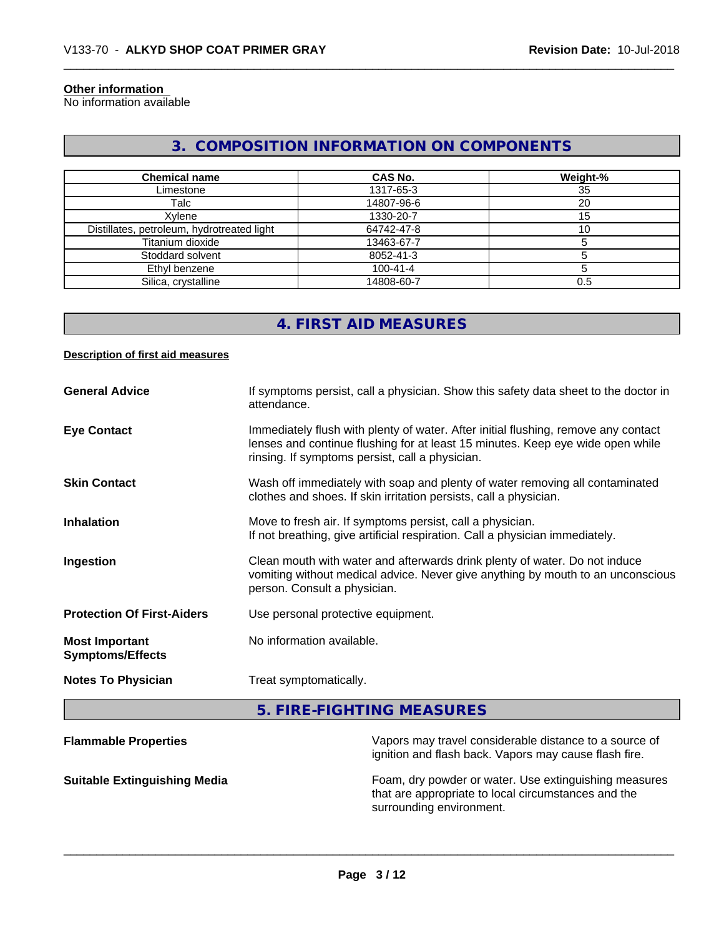## **Other information**

No information available

# **3. COMPOSITION INFORMATION ON COMPONENTS**

| <b>Chemical name</b>                       | <b>CAS No.</b> | Weight-% |
|--------------------------------------------|----------------|----------|
|                                            |                |          |
| Limestone                                  | 1317-65-3      | 35       |
| Talc                                       | 14807-96-6     | 20       |
| Xvlene                                     | 1330-20-7      | 15       |
| Distillates, petroleum, hydrotreated light | 64742-47-8     | 10       |
| Titanium dioxide                           | 13463-67-7     |          |
| Stoddard solvent                           | 8052-41-3      |          |
| Ethyl benzene                              | $100 - 41 - 4$ |          |
| Silica, crystalline                        | 14808-60-7     | 0.5      |

# **4. FIRST AID MEASURES**

### **Description of first aid measures**

| <b>General Advice</b>                            | If symptoms persist, call a physician. Show this safety data sheet to the doctor in<br>attendance.                                                                                                                      |
|--------------------------------------------------|-------------------------------------------------------------------------------------------------------------------------------------------------------------------------------------------------------------------------|
| <b>Eye Contact</b>                               | Immediately flush with plenty of water. After initial flushing, remove any contact<br>lenses and continue flushing for at least 15 minutes. Keep eye wide open while<br>rinsing. If symptoms persist, call a physician. |
| <b>Skin Contact</b>                              | Wash off immediately with soap and plenty of water removing all contaminated<br>clothes and shoes. If skin irritation persists, call a physician.                                                                       |
| <b>Inhalation</b>                                | Move to fresh air. If symptoms persist, call a physician.<br>If not breathing, give artificial respiration. Call a physician immediately.                                                                               |
| Ingestion                                        | Clean mouth with water and afterwards drink plenty of water. Do not induce<br>vomiting without medical advice. Never give anything by mouth to an unconscious<br>person. Consult a physician.                           |
| <b>Protection Of First-Aiders</b>                | Use personal protective equipment.                                                                                                                                                                                      |
| <b>Most Important</b><br><b>Symptoms/Effects</b> | No information available.                                                                                                                                                                                               |
| <b>Notes To Physician</b>                        | Treat symptomatically.                                                                                                                                                                                                  |

**5. FIRE-FIGHTING MEASURES**

| <b>Flammable Properties</b>         | Vapors may travel considerable distance to a source of<br>ignition and flash back. Vapors may cause flash fire.                          |
|-------------------------------------|------------------------------------------------------------------------------------------------------------------------------------------|
| <b>Suitable Extinguishing Media</b> | Foam, dry powder or water. Use extinguishing measures<br>that are appropriate to local circumstances and the<br>surrounding environment. |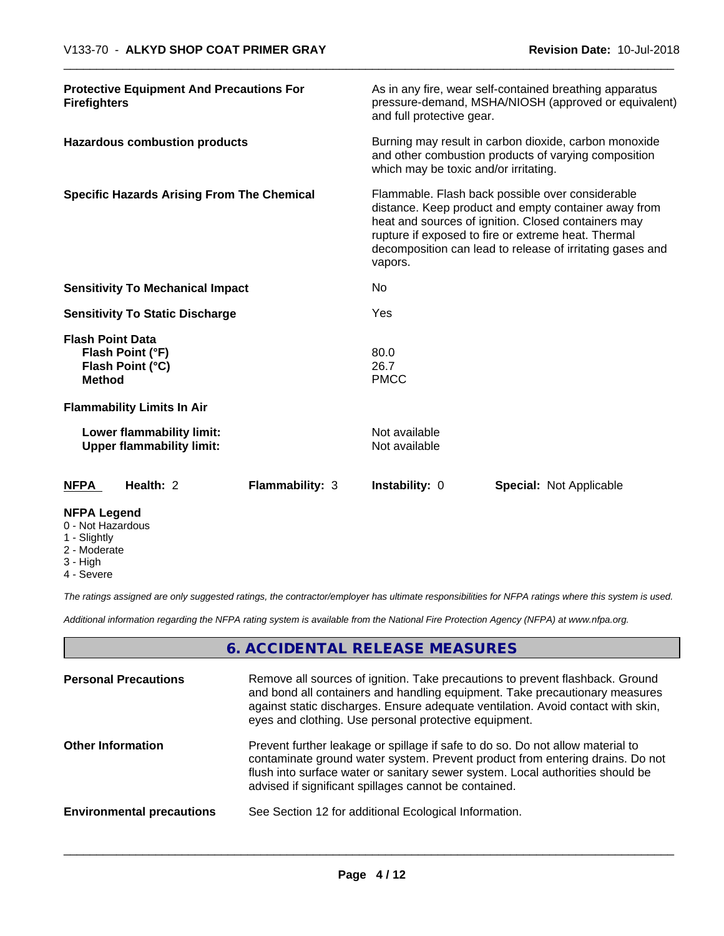| <b>NFPA Legend</b>                                                               |                                                               |                                                                                                                                                                                                                                                                                                |                                |                                |  |
|----------------------------------------------------------------------------------|---------------------------------------------------------------|------------------------------------------------------------------------------------------------------------------------------------------------------------------------------------------------------------------------------------------------------------------------------------------------|--------------------------------|--------------------------------|--|
| <b>NFPA</b>                                                                      | Health: 2                                                     | <b>Flammability: 3</b>                                                                                                                                                                                                                                                                         | <b>Instability: 0</b>          | <b>Special: Not Applicable</b> |  |
|                                                                                  | Lower flammability limit:<br><b>Upper flammability limit:</b> |                                                                                                                                                                                                                                                                                                | Not available<br>Not available |                                |  |
|                                                                                  | <b>Flammability Limits In Air</b>                             |                                                                                                                                                                                                                                                                                                |                                |                                |  |
| <b>Flash Point Data</b><br>Flash Point (°F)<br>Flash Point (°C)<br><b>Method</b> |                                                               |                                                                                                                                                                                                                                                                                                | 80.0<br>26.7<br><b>PMCC</b>    |                                |  |
| <b>Sensitivity To Static Discharge</b>                                           |                                                               | <b>Yes</b>                                                                                                                                                                                                                                                                                     |                                |                                |  |
| <b>Sensitivity To Mechanical Impact</b>                                          |                                                               |                                                                                                                                                                                                                                                                                                | No                             |                                |  |
| <b>Specific Hazards Arising From The Chemical</b>                                |                                                               | Flammable. Flash back possible over considerable<br>distance. Keep product and empty container away from<br>heat and sources of ignition. Closed containers may<br>rupture if exposed to fire or extreme heat. Thermal<br>decomposition can lead to release of irritating gases and<br>vapors. |                                |                                |  |
| <b>Hazardous combustion products</b>                                             |                                                               | Burning may result in carbon dioxide, carbon monoxide<br>and other combustion products of varying composition<br>which may be toxic and/or irritating.                                                                                                                                         |                                |                                |  |
| <b>Protective Equipment And Precautions For</b><br><b>Firefighters</b>           |                                                               | As in any fire, wear self-contained breathing apparatus<br>pressure-demand, MSHA/NIOSH (approved or equivalent)<br>and full protective gear.                                                                                                                                                   |                                |                                |  |

- 0 Not Hazardous
- 1 Slightly
- 2 Moderate
- 3 High
- 4 Severe

*The ratings assigned are only suggested ratings, the contractor/employer has ultimate responsibilities for NFPA ratings where this system is used.*

*Additional information regarding the NFPA rating system is available from the National Fire Protection Agency (NFPA) at www.nfpa.org.*

# **6. ACCIDENTAL RELEASE MEASURES**

| <b>Personal Precautions</b>      | Remove all sources of ignition. Take precautions to prevent flashback. Ground<br>and bond all containers and handling equipment. Take precautionary measures<br>against static discharges. Ensure adequate ventilation. Avoid contact with skin,<br>eyes and clothing. Use personal protective equipment.  |
|----------------------------------|------------------------------------------------------------------------------------------------------------------------------------------------------------------------------------------------------------------------------------------------------------------------------------------------------------|
| <b>Other Information</b>         | Prevent further leakage or spillage if safe to do so. Do not allow material to<br>contaminate ground water system. Prevent product from entering drains. Do not<br>flush into surface water or sanitary sewer system. Local authorities should be<br>advised if significant spillages cannot be contained. |
| <b>Environmental precautions</b> | See Section 12 for additional Ecological Information.                                                                                                                                                                                                                                                      |
|                                  |                                                                                                                                                                                                                                                                                                            |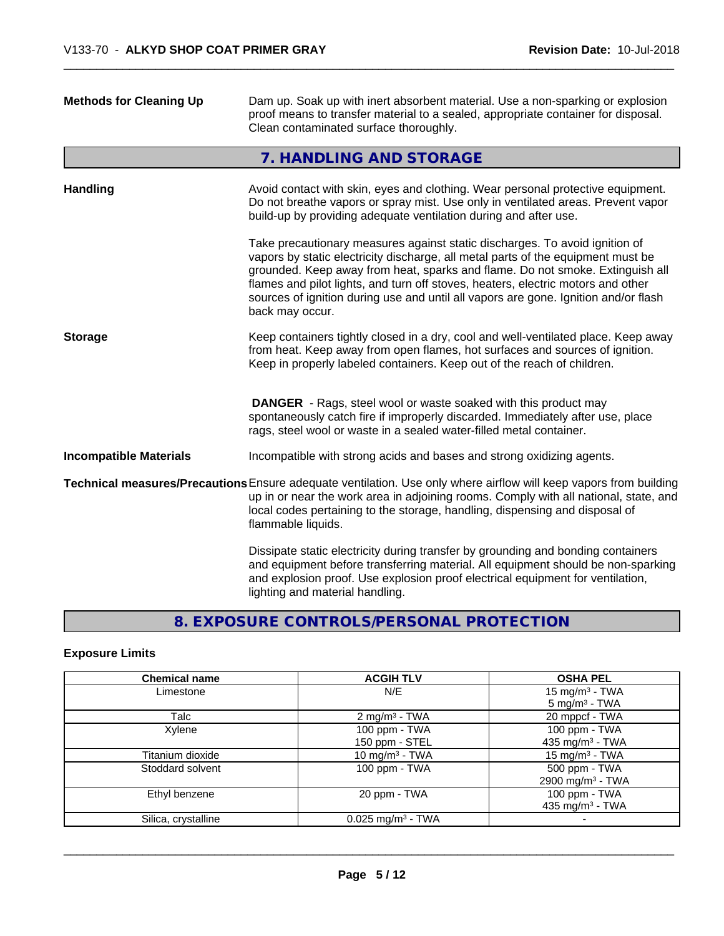| <b>Methods for Cleaning Up</b> | Dam up. Soak up with inert absorbent material. Use a non-sparking or explosion<br>proof means to transfer material to a sealed, appropriate container for disposal.<br>Clean contaminated surface thoroughly.                                                                                                                                                                                                                                  |
|--------------------------------|------------------------------------------------------------------------------------------------------------------------------------------------------------------------------------------------------------------------------------------------------------------------------------------------------------------------------------------------------------------------------------------------------------------------------------------------|
|                                | 7. HANDLING AND STORAGE                                                                                                                                                                                                                                                                                                                                                                                                                        |
| <b>Handling</b>                | Avoid contact with skin, eyes and clothing. Wear personal protective equipment.<br>Do not breathe vapors or spray mist. Use only in ventilated areas. Prevent vapor<br>build-up by providing adequate ventilation during and after use.                                                                                                                                                                                                        |
|                                | Take precautionary measures against static discharges. To avoid ignition of<br>vapors by static electricity discharge, all metal parts of the equipment must be<br>grounded. Keep away from heat, sparks and flame. Do not smoke. Extinguish all<br>flames and pilot lights, and turn off stoves, heaters, electric motors and other<br>sources of ignition during use and until all vapors are gone. Ignition and/or flash<br>back may occur. |
| <b>Storage</b>                 | Keep containers tightly closed in a dry, cool and well-ventilated place. Keep away<br>from heat. Keep away from open flames, hot surfaces and sources of ignition.<br>Keep in properly labeled containers. Keep out of the reach of children.                                                                                                                                                                                                  |
|                                | <b>DANGER</b> - Rags, steel wool or waste soaked with this product may<br>spontaneously catch fire if improperly discarded. Immediately after use, place<br>rags, steel wool or waste in a sealed water-filled metal container.                                                                                                                                                                                                                |
| <b>Incompatible Materials</b>  | Incompatible with strong acids and bases and strong oxidizing agents.                                                                                                                                                                                                                                                                                                                                                                          |
|                                | Technical measures/Precautions Ensure adequate ventilation. Use only where airflow will keep vapors from building<br>up in or near the work area in adjoining rooms. Comply with all national, state, and<br>local codes pertaining to the storage, handling, dispensing and disposal of<br>flammable liquids.                                                                                                                                 |
|                                | Dissipate static electricity during transfer by grounding and bonding containers<br>and equipment before transferring material. All equipment should be non-sparking<br>and explosion proof. Use explosion proof electrical equipment for ventilation,<br>lighting and material handling.                                                                                                                                                      |
|                                |                                                                                                                                                                                                                                                                                                                                                                                                                                                |

# **8. EXPOSURE CONTROLS/PERSONAL PROTECTION**

# **Exposure Limits**

| <b>Chemical name</b> | <b>ACGIH TLV</b>                | <b>OSHA PEL</b>              |
|----------------------|---------------------------------|------------------------------|
| Limestone            | N/E                             | 15 mg/m <sup>3</sup> - TWA   |
|                      |                                 | $5$ mg/m <sup>3</sup> - TWA  |
| Talc                 | 2 mg/m <sup>3</sup> - TWA       | 20 mppcf - TWA               |
| Xylene               | 100 ppm - TWA                   | 100 ppm - TWA                |
|                      | 150 ppm - STEL                  | 435 mg/m $3$ - TWA           |
| Titanium dioxide     | 10 mg/m <sup>3</sup> - TWA      | 15 mg/m <sup>3</sup> - TWA   |
| Stoddard solvent     | 100 ppm - TWA                   | 500 ppm - TWA                |
|                      |                                 | 2900 mg/m <sup>3</sup> - TWA |
| Ethyl benzene        | 20 ppm - TWA                    | 100 ppm - TWA                |
|                      |                                 | 435 mg/m <sup>3</sup> - TWA  |
| Silica, crystalline  | $0.025$ mg/m <sup>3</sup> - TWA |                              |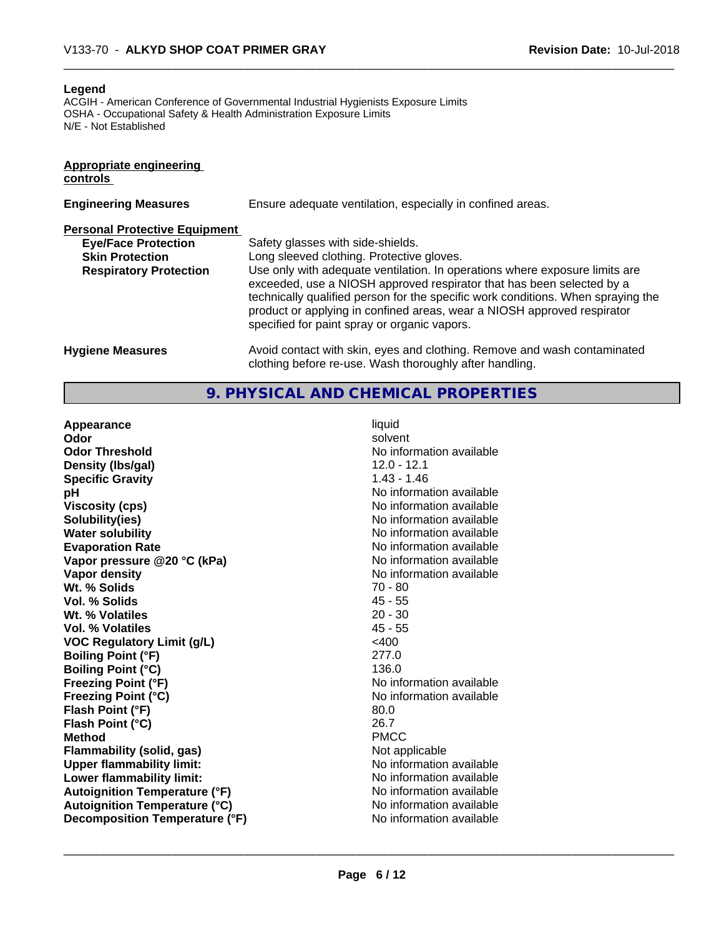#### **Legend**

ACGIH - American Conference of Governmental Industrial Hygienists Exposure Limits OSHA - Occupational Safety & Health Administration Exposure Limits N/E - Not Established

| <b>Appropriate engineering</b><br>controls |                                                                                                                                                                                                                                                                                                                                                                     |
|--------------------------------------------|---------------------------------------------------------------------------------------------------------------------------------------------------------------------------------------------------------------------------------------------------------------------------------------------------------------------------------------------------------------------|
| <b>Engineering Measures</b>                | Ensure adequate ventilation, especially in confined areas.                                                                                                                                                                                                                                                                                                          |
| <b>Personal Protective Equipment</b>       |                                                                                                                                                                                                                                                                                                                                                                     |
| <b>Eye/Face Protection</b>                 | Safety glasses with side-shields.                                                                                                                                                                                                                                                                                                                                   |
| <b>Skin Protection</b>                     | Long sleeved clothing. Protective gloves.                                                                                                                                                                                                                                                                                                                           |
| <b>Respiratory Protection</b>              | Use only with adequate ventilation. In operations where exposure limits are<br>exceeded, use a NIOSH approved respirator that has been selected by a<br>technically qualified person for the specific work conditions. When spraying the<br>product or applying in confined areas, wear a NIOSH approved respirator<br>specified for paint spray or organic vapors. |
| <b>Hygiene Measures</b>                    | Avoid contact with skin, eyes and clothing. Remove and wash contaminated<br>clothing before re-use. Wash thoroughly after handling.                                                                                                                                                                                                                                 |

### **9. PHYSICAL AND CHEMICAL PROPERTIES**

**Appearance** liquid **Odor** solvent **Odor Threshold** No information available **Density (lbs/gal)** 12.0 - 12.1 **Specific Gravity** 1.43 - 1.46 **pH pH**  $\blacksquare$ **Viscosity (cps)** <br> **Viscosity (cps)** No information available<br>
No information available<br>
No information available **Water solubility** No information available **Evaporation Rate Conservation Rate** Report of the No information available valuable valuable valuable valuable valuable valuable valuable valuable valuable valuable valuable valuable valuable valuable valuable valuable **Vapor** pressure @20 °C (kPa) **Vapor density No information available No information available Wt. % Solids** 70 - 80 **Vol. % Solids Wt. % Volatiles** 20 - 30 **Vol. % Volatiles** 45 - 55 **VOC** Regulatory Limit (g/L)  $\leq 400$ **Boiling Point (°F)** 277.0 **Boiling Point (°C)** 136.0 **Freezing Point (°F)** The state of the state of the Noinformation available **Freezing Point (°C)** No information available **Flash Point (°F)** 80.0 **Flash Point (°C)** 26.7 **Method** PMCC **Flammability (solid, gas)** Not applicable **Upper flammability limit:** No information available **Lower flammability limit:** No information available **Autoignition Temperature (°F)** No information available **Autoignition Temperature (°C)**<br> **Decomposition Temperature (°F)** No information available **Decomposition Temperature (°F)** 

**Solubility(ies)** No information available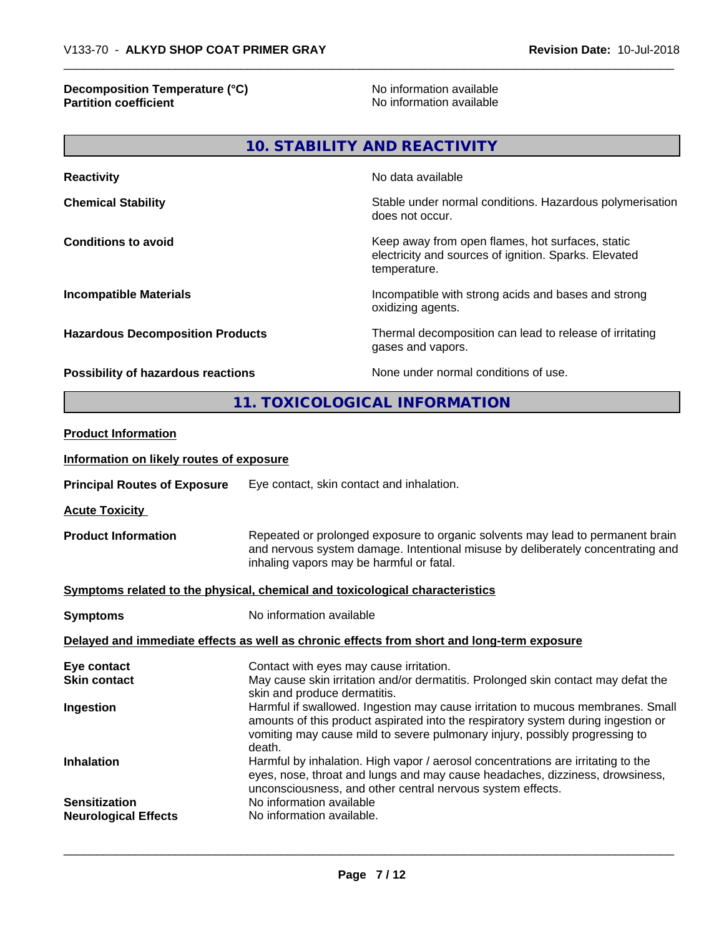### **Decomposition Temperature (°C)** No information available **Partition coefficient** and the settlement of the settlement of the No information available and the settlement of the settlement of the settlement of the settlement of the settlement of the settlement of the settlement of

| <b>Reactivity</b>                       | No data available                                                                                                         |
|-----------------------------------------|---------------------------------------------------------------------------------------------------------------------------|
| <b>Chemical Stability</b>               | Stable under normal conditions. Hazardous polymerisation<br>does not occur.                                               |
| <b>Conditions to avoid</b>              | Keep away from open flames, hot surfaces, static<br>electricity and sources of ignition. Sparks. Elevated<br>temperature. |
| <b>Incompatible Materials</b>           | Incompatible with strong acids and bases and strong<br>oxidizing agents.                                                  |
| <b>Hazardous Decomposition Products</b> | Thermal decomposition can lead to release of irritating<br>gases and vapors.                                              |
| Possibility of hazardous reactions      | None under normal conditions of use.                                                                                      |

**11. TOXICOLOGICAL INFORMATION**

| <b>Product Information</b>                                                                 |                                                                                                                                                                                                                                                               |  |
|--------------------------------------------------------------------------------------------|---------------------------------------------------------------------------------------------------------------------------------------------------------------------------------------------------------------------------------------------------------------|--|
| Information on likely routes of exposure                                                   |                                                                                                                                                                                                                                                               |  |
| <b>Principal Routes of Exposure</b>                                                        | Eye contact, skin contact and inhalation.                                                                                                                                                                                                                     |  |
| <b>Acute Toxicity</b>                                                                      |                                                                                                                                                                                                                                                               |  |
| <b>Product Information</b>                                                                 | Repeated or prolonged exposure to organic solvents may lead to permanent brain<br>and nervous system damage. Intentional misuse by deliberately concentrating and<br>inhaling vapors may be harmful or fatal.                                                 |  |
|                                                                                            | Symptoms related to the physical, chemical and toxicological characteristics                                                                                                                                                                                  |  |
| <b>Symptoms</b>                                                                            | No information available                                                                                                                                                                                                                                      |  |
| Delayed and immediate effects as well as chronic effects from short and long-term exposure |                                                                                                                                                                                                                                                               |  |
| Eye contact                                                                                | Contact with eyes may cause irritation.                                                                                                                                                                                                                       |  |
| <b>Skin contact</b>                                                                        | May cause skin irritation and/or dermatitis. Prolonged skin contact may defat the<br>skin and produce dermatitis.                                                                                                                                             |  |
| Ingestion                                                                                  | Harmful if swallowed. Ingestion may cause irritation to mucous membranes. Small<br>amounts of this product aspirated into the respiratory system during ingestion or<br>vomiting may cause mild to severe pulmonary injury, possibly progressing to<br>death. |  |
| <b>Inhalation</b>                                                                          | Harmful by inhalation. High vapor / aerosol concentrations are irritating to the<br>eyes, nose, throat and lungs and may cause headaches, dizziness, drowsiness,<br>unconsciousness, and other central nervous system effects.                                |  |
| <b>Sensitization</b>                                                                       | No information available                                                                                                                                                                                                                                      |  |
| <b>Neurological Effects</b>                                                                | No information available.                                                                                                                                                                                                                                     |  |
|                                                                                            |                                                                                                                                                                                                                                                               |  |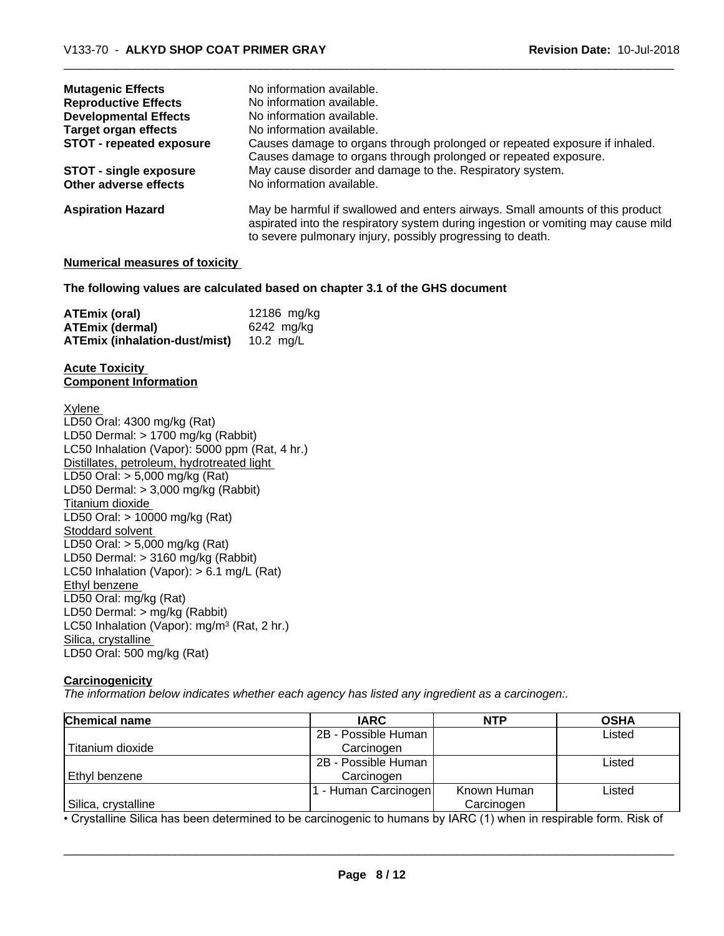| <b>Mutagenic Effects</b>        | No information available.                                                         |
|---------------------------------|-----------------------------------------------------------------------------------|
| <b>Reproductive Effects</b>     | No information available.                                                         |
| <b>Developmental Effects</b>    | No information available.                                                         |
| Target organ effects            | No information available.                                                         |
| <b>STOT - repeated exposure</b> | Causes damage to organs through prolonged or repeated exposure if inhaled.        |
|                                 | Causes damage to organs through prolonged or repeated exposure.                   |
| <b>STOT - single exposure</b>   | May cause disorder and damage to the. Respiratory system.                         |
| Other adverse effects           | No information available.                                                         |
| <b>Aspiration Hazard</b>        | May be harmful if swallowed and enters airways. Small amounts of this product     |
|                                 | aspirated into the respiratory system during ingestion or vomiting may cause mild |
|                                 | to severe pulmonary injury, possibly progressing to death.                        |

#### **Numerical measures of toxicity**

### **The following values are calculated based on chapter 3.1 of the GHS document**

| ATEmix (oral)                 | 12186 mg/kg |
|-------------------------------|-------------|
| <b>ATEmix (dermal)</b>        | 6242 mg/kg  |
| ATEmix (inhalation-dust/mist) | 10.2 ma/L   |

#### **Acute Toxicity Component Information**

Xylene LD50 Oral: 4300 mg/kg (Rat) LD50 Dermal: > 1700 mg/kg (Rabbit) LC50 Inhalation (Vapor): 5000 ppm (Rat, 4 hr.) Distillates, petroleum, hydrotreated light LD50 Oral: > 5,000 mg/kg (Rat) LD50 Dermal: > 3,000 mg/kg (Rabbit) Titanium dioxide LD50 Oral: > 10000 mg/kg (Rat) Stoddard solvent LD50 Oral: > 5,000 mg/kg (Rat) LD50 Dermal: > 3160 mg/kg (Rabbit) LC50 Inhalation (Vapor): > 6.1 mg/L (Rat) Ethyl benzene LD50 Oral: mg/kg (Rat) LD50 Dermal: > mg/kg (Rabbit) LC50 Inhalation (Vapor): mg/m<sup>3</sup> (Rat, 2 hr.) Silica, crystalline LD50 Oral: 500 mg/kg (Rat)

### **Carcinogenicity**

*The information below indicateswhether each agency has listed any ingredient as a carcinogen:.*

| <b>Chemical name</b> | <b>IARC</b>         | <b>NTP</b>  | <b>OSHA</b> |
|----------------------|---------------------|-------------|-------------|
|                      | 2B - Possible Human |             | Listed      |
| Titanium dioxide     | Carcinogen          |             |             |
|                      | 2B - Possible Human |             | Listed      |
| Ethyl benzene        | Carcinogen          |             |             |
|                      | - Human Carcinogen  | Known Human | Listed      |
| Silica, crystalline  |                     | Carcinogen  |             |

• Crystalline Silica has been determined to be carcinogenic to humans by IARC (1) when in respirable form. Risk of<br> **Page 8 / 12**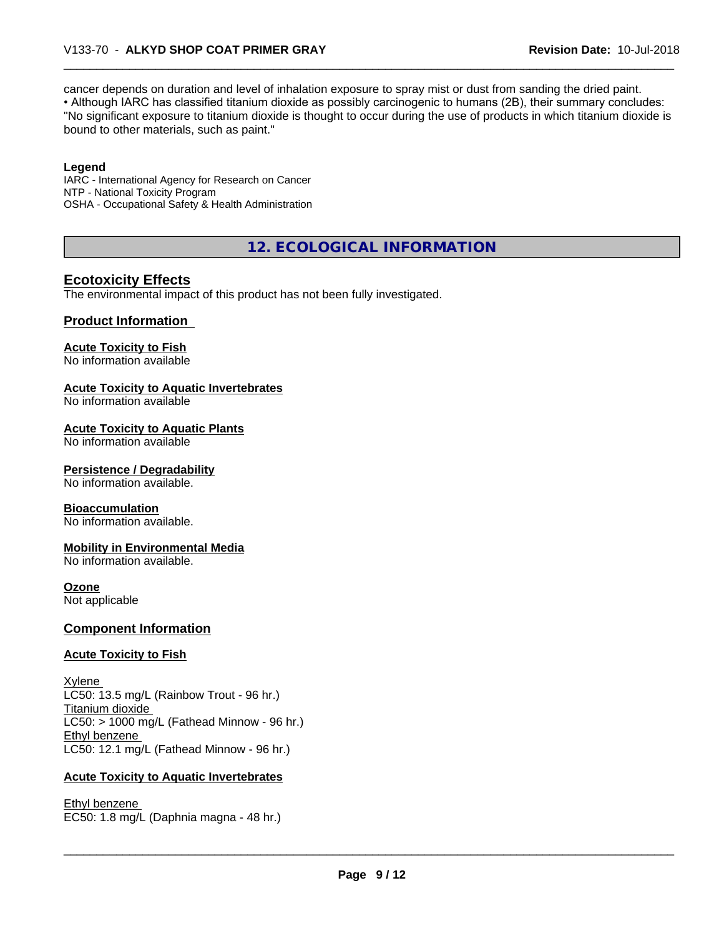cancer depends on duration and level of inhalation exposure to spray mist or dust from sanding the dried paint.• Although IARC has classified titanium dioxide as possibly carcinogenic to humans (2B), their summary concludes: "No significant exposure to titanium dioxide is thought to occur during the use of products in which titanium dioxide is bound to other materials, such as paint."

### **Legend**

IARC - International Agency for Research on Cancer NTP - National Toxicity Program OSHA - Occupational Safety & Health Administration

**12. ECOLOGICAL INFORMATION**

## **Ecotoxicity Effects**

The environmental impact of this product has not been fully investigated.

### **Product Information**

## **Acute Toxicity to Fish**

No information available

### **Acute Toxicity to Aquatic Invertebrates**

No information available

### **Acute Toxicity to Aquatic Plants**

No information available

### **Persistence / Degradability**

No information available.

### **Bioaccumulation**

No information available.

### **Mobility in Environmental Media**

No information available.

### **Ozone**

Not applicable

### **Component Information**

### **Acute Toxicity to Fish**

Xylene LC50: 13.5 mg/L (Rainbow Trout - 96 hr.) Titanium dioxide  $LC50:$  > 1000 mg/L (Fathead Minnow - 96 hr.) Ethyl benzene LC50: 12.1 mg/L (Fathead Minnow - 96 hr.)

### **Acute Toxicity to Aquatic Invertebrates**

Ethyl benzene \_\_\_\_\_\_\_\_\_\_\_\_\_\_\_\_\_\_\_\_\_\_\_\_\_\_\_\_\_\_\_\_\_\_\_\_\_\_\_\_\_\_\_\_\_\_\_\_\_\_\_\_\_\_\_\_\_\_\_\_\_\_\_\_\_\_\_\_\_\_\_\_\_\_\_\_\_\_\_\_\_\_\_\_\_\_\_\_\_\_\_\_\_ EC50: 1.8 mg/L (Daphnia magna - 48 hr.)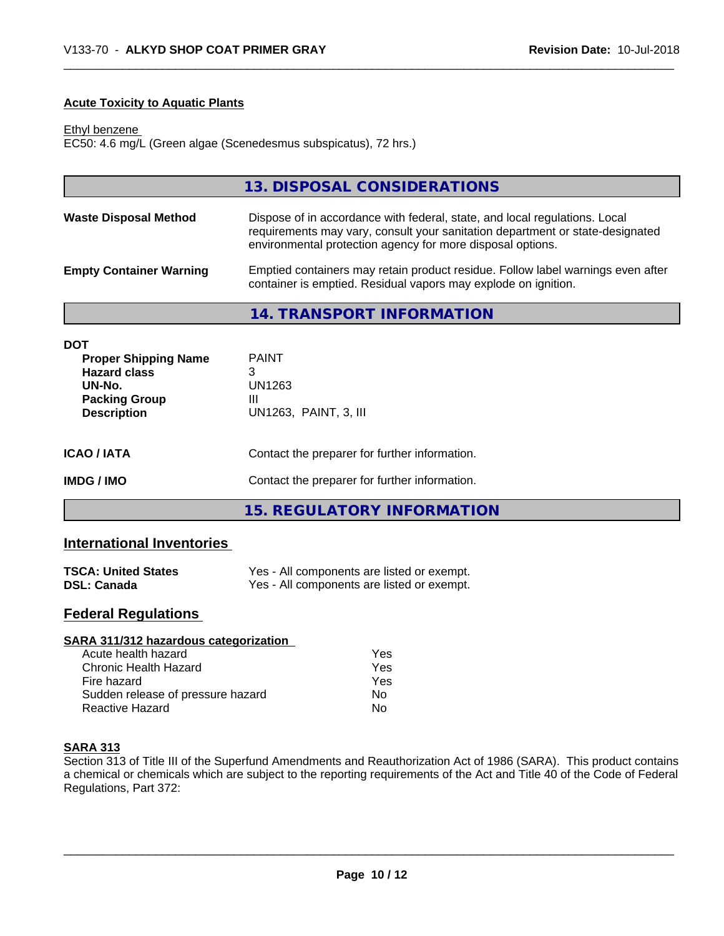### **Acute Toxicity to Aquatic Plants**

Ethyl benzene

EC50: 4.6 mg/L (Green algae (Scenedesmus subspicatus), 72 hrs.)

|                                | 13. DISPOSAL CONSIDERATIONS                                                                                                                                                                                               |
|--------------------------------|---------------------------------------------------------------------------------------------------------------------------------------------------------------------------------------------------------------------------|
| <b>Waste Disposal Method</b>   | Dispose of in accordance with federal, state, and local regulations. Local<br>requirements may vary, consult your sanitation department or state-designated<br>environmental protection agency for more disposal options. |
| <b>Empty Container Warning</b> | Emptied containers may retain product residue. Follow label warnings even after<br>container is emptied. Residual vapors may explode on ignition.                                                                         |
|                                | 14. TRANSPORT INFORMATION                                                                                                                                                                                                 |

| DOT<br><b>Proper Shipping Name</b><br><b>Hazard class</b><br>UN-No.<br><b>Packing Group</b><br><b>Description</b> | <b>PAINT</b><br>3<br>UN1263<br>Ш<br>UN1263, PAINT, 3, III |  |
|-------------------------------------------------------------------------------------------------------------------|-----------------------------------------------------------|--|
| ICAO / IATA                                                                                                       | Contact the preparer for further information.             |  |
| IMDG / IMO                                                                                                        | Contact the preparer for further information.             |  |
|                                                                                                                   | 15. REGULATORY INFORMATION                                |  |

# **International Inventories**

| <b>TSCA: United States</b> | Yes - All components are listed or exempt. |
|----------------------------|--------------------------------------------|
| <b>DSL: Canada</b>         | Yes - All components are listed or exempt. |

## **Federal Regulations**

| SARA 311/312 hazardous categorization |     |  |
|---------------------------------------|-----|--|
| Acute health hazard                   | Yes |  |
| Chronic Health Hazard                 | Yes |  |
| Fire hazard                           | Yes |  |
| Sudden release of pressure hazard     | No  |  |
| Reactive Hazard                       | No  |  |

### **SARA 313**

Section 313 of Title III of the Superfund Amendments and Reauthorization Act of 1986 (SARA). This product contains a chemical or chemicals which are subject to the reporting requirements of the Act and Title 40 of the Code of Federal Regulations, Part 372: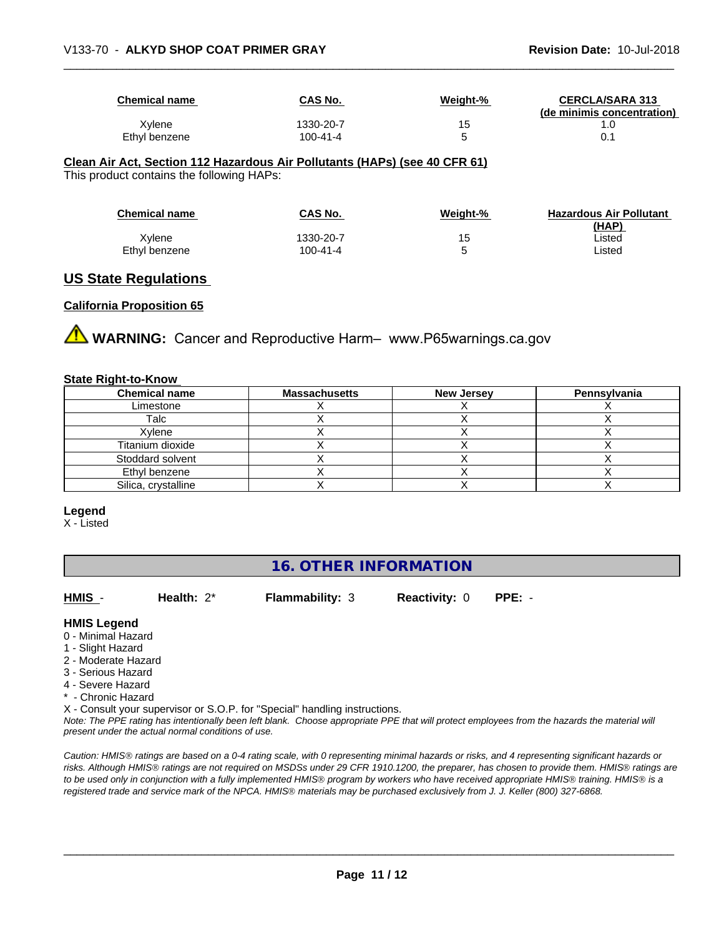| <b>Chemical name</b> | <b>CAS No.</b> | Weight-% | <b>CERCLA/SARA 313</b><br>(de minimis concentration) |
|----------------------|----------------|----------|------------------------------------------------------|
| Xylene               | 1330-20-7      | 15       |                                                      |
| Ethyl benzene        | 100-41-4       |          | 0.1                                                  |

#### **Clean Air Act,Section 112 Hazardous Air Pollutants (HAPs) (see 40 CFR 61)**

This product contains the following HAPs:

| <b>Chemical name</b> | CAS No.   | Weight-% | <b>Hazardous Air Pollutant</b> |
|----------------------|-----------|----------|--------------------------------|
|                      |           |          | (HAP)                          |
| Xylene               | 1330-20-7 |          | ∟isted                         |
| Ethyl benzene        | 100-41-4  | u        | Listed                         |

## **US State Regulations**

### **California Proposition 65**

**AN** WARNING: Cancer and Reproductive Harm– www.P65warnings.ca.gov

### **State Right-to-Know**

| <b>Chemical name</b> | <b>Massachusetts</b> | <b>New Jersey</b> | Pennsylvania |
|----------------------|----------------------|-------------------|--------------|
| Limestone            |                      |                   |              |
| Talc                 |                      |                   |              |
| Xylene               |                      |                   |              |
| Titanium dioxide     |                      |                   |              |
| Stoddard solvent     |                      |                   |              |
| Ethyl benzene        |                      |                   |              |
| Silica, crystalline  |                      |                   |              |

#### **Legend**

X - Listed

## **16. OTHER INFORMATION**

**HMIS** - **Health:** 2\* **Flammability:** 3 **Reactivity:** 0 **PPE:** -

### **HMIS Legend**

- 0 Minimal Hazard
- 1 Slight Hazard
- 2 Moderate Hazard
- 3 Serious Hazard
- 4 Severe Hazard
- \* Chronic Hazard
- X Consult your supervisor or S.O.P. for "Special" handling instructions.

*Note: The PPE rating has intentionally been left blank. Choose appropriate PPE that will protect employees from the hazards the material will present under the actual normal conditions of use.*

*Caution: HMISÒ ratings are based on a 0-4 rating scale, with 0 representing minimal hazards or risks, and 4 representing significant hazards or risks. Although HMISÒ ratings are not required on MSDSs under 29 CFR 1910.1200, the preparer, has chosen to provide them. HMISÒ ratings are to be used only in conjunction with a fully implemented HMISÒ program by workers who have received appropriate HMISÒ training. HMISÒ is a registered trade and service mark of the NPCA. HMISÒ materials may be purchased exclusively from J. J. Keller (800) 327-6868.*